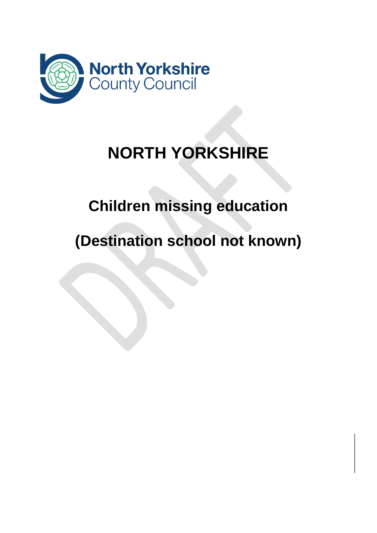

# **NORTH YORKSHIRE**

# **Children missing education**

# **(Destination school not known)**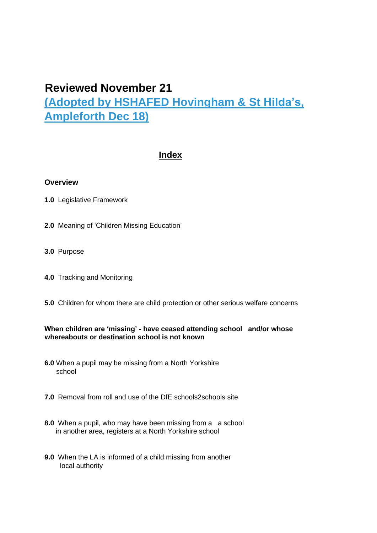# **Reviewed November 21 (Adopted by HSHAFED Hovingham & St Hilda's, Ampleforth Dec 18)**

# **Index**

#### **Overview**

- **1.0** Legislative Framework
- **2.0** Meaning of 'Children Missing Education'
- **3.0** Purpose
- **4.0** Tracking and Monitoring
- **5.0** Children for whom there are child protection or other serious welfare concerns

#### **When children are 'missing' - have ceased attending school and/or whose whereabouts or destination school is not known**

- **6.0** When a pupil may be missing from a North Yorkshire school
- **7.0** Removal from roll and use of the DfE schools2schools site
- **8.0** When a pupil, who may have been missing from a a school in another area, registers at a North Yorkshire school
- **9.0** When the LA is informed of a child missing from another local authority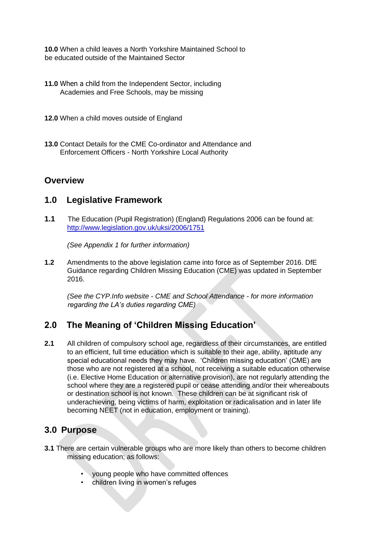**10.0** When a child leaves a North Yorkshire Maintained School to be educated outside of the Maintained Sector

- **11.0** When a child from the Independent Sector, including Academies and Free Schools, may be missing
- **12.0** When a child moves outside of England
- **13.0** Contact Details for the CME Co-ordinator and Attendance and Enforcement Officers - North Yorkshire Local Authority

# **Overview**

# **1.0 Legislative Framework**

**1.1** The Education (Pupil Registration) (England) Regulations 2006 can be found at: <http://www.legislation.gov.uk/uksi/2006/1751>

*(See Appendix 1 for further information)* 

**1.2** Amendments to the above legislation came into force as of September 2016. DfE Guidance regarding Children Missing Education (CME) was updated in September 2016.

*(See the CYP.Info website - CME and School Attendance - for more information regarding the LA's duties regarding CME)* 

# **2.0 The Meaning of 'Children Missing Education'**

**2.1** All children of compulsory school age, regardless of their circumstances, are entitled to an efficient, full time education which is suitable to their age, ability, aptitude any special educational needs they may have. 'Children missing education' (CME) are those who are not registered at a school, not receiving a suitable education otherwise (i.e. Elective Home Education or alternative provision), are not regularly attending the school where they are a registered pupil or cease attending and/or their whereabouts or destination school is not known. These children can be at significant risk of underachieving, being victims of harm, exploitation or radicalisation and in later life becoming NEET (not in education, employment or training).

# **3.0 Purpose**

- **3.1** There are certain vulnerable groups who are more likely than others to become children missing education; as follows:
	- young people who have committed offences
	- children living in women's refuges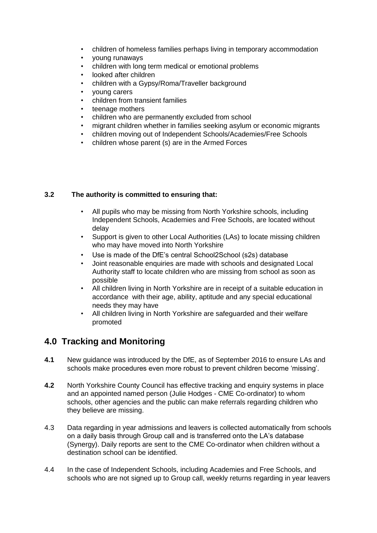- children of homeless families perhaps living in temporary accommodation
- young runaways
- children with long term medical or emotional problems
- looked after children
- children with a Gypsy/Roma/Traveller background
- young carers
- children from transient families
- teenage mothers
- children who are permanently excluded from school
- migrant children whether in families seeking asylum or economic migrants
- children moving out of Independent Schools/Academies/Free Schools
- children whose parent (s) are in the Armed Forces

#### **3.2 The authority is committed to ensuring that:**

- All pupils who may be missing from North Yorkshire schools, including Independent Schools, Academies and Free Schools, are located without delay
- Support is given to other Local Authorities (LAs) to locate missing children who may have moved into North Yorkshire
- Use is made of the DfE's central School2School (s2s) database
- Joint reasonable enquiries are made with schools and designated Local Authority staff to locate children who are missing from school as soon as possible
- All children living in North Yorkshire are in receipt of a suitable education in accordance with their age, ability, aptitude and any special educational needs they may have
- All children living in North Yorkshire are safeguarded and their welfare promoted

# **4.0 Tracking and Monitoring**

- **4.1** New guidance was introduced by the DfE, as of September 2016 to ensure LAs and schools make procedures even more robust to prevent children become 'missing'.
- **4.2** North Yorkshire County Council has effective tracking and enquiry systems in place and an appointed named person (Julie Hodges - CME Co-ordinator) to whom schools, other agencies and the public can make referrals regarding children who they believe are missing.
- 4.3 Data regarding in year admissions and leavers is collected automatically from schools on a daily basis through Group call and is transferred onto the LA's database (Synergy). Daily reports are sent to the CME Co-ordinator when children without a destination school can be identified.
- 4.4 In the case of Independent Schools, including Academies and Free Schools, and schools who are not signed up to Group call, weekly returns regarding in year leavers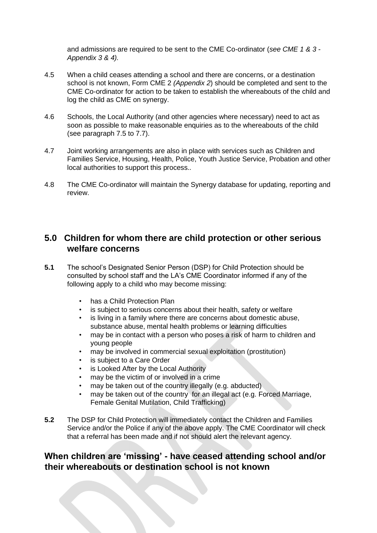and admissions are required to be sent to the CME Co-ordinator (*see CME 1 & 3 - Appendix 3 & 4).* 

- 4.5 When a child ceases attending a school and there are concerns, or a destination school is not known, Form CME 2 *(Appendix 2*) should be completed and sent to the CME Co-ordinator for action to be taken to establish the whereabouts of the child and log the child as CME on synergy.
- 4.6 Schools, the Local Authority (and other agencies where necessary) need to act as soon as possible to make reasonable enquiries as to the whereabouts of the child (see paragraph 7.5 to 7.7).
- 4.7 Joint working arrangements are also in place with services such as Children and Families Service, Housing, Health, Police, Youth Justice Service, Probation and other local authorities to support this process.*.*
- 4.8 The CME Co-ordinator will maintain the Synergy database for updating, reporting and review.

# **5.0 Children for whom there are child protection or other serious welfare concerns**

- **5.1** The school's Designated Senior Person (DSP) for Child Protection should be consulted by school staff and the LA's CME Coordinator informed if any of the following apply to a child who may become missing:
	- has a Child Protection Plan
	- is subject to serious concerns about their health, safety or welfare
	- is living in a family where there are concerns about domestic abuse, substance abuse, mental health problems or learning difficulties
	- may be in contact with a person who poses a risk of harm to children and young people
	- may be involved in commercial sexual exploitation (prostitution)
	- is subject to a Care Order
	- is Looked After by the Local Authority
	- may be the victim of or involved in a crime
	- may be taken out of the country illegally (e.g. abducted)
	- may be taken out of the country for an illegal act (e.g. Forced Marriage, Female Genital Mutilation, Child Trafficking)
- **5.2** The DSP for Child Protection will immediately contact the Children and Families Service and/or the Police if any of the above apply. The CME Coordinator will check that a referral has been made and if not should alert the relevant agency.

### **When children are 'missing' - have ceased attending school and/or their whereabouts or destination school is not known**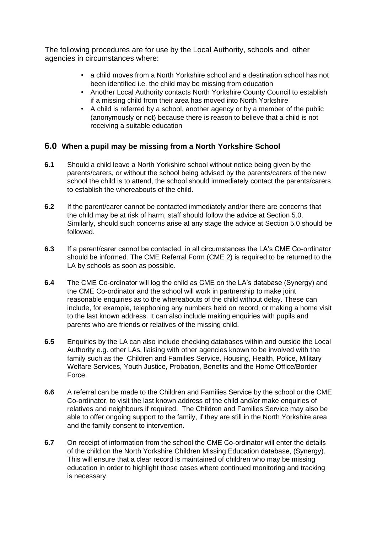The following procedures are for use by the Local Authority, schools and other agencies in circumstances where:

- a child moves from a North Yorkshire school and a destination school has not been identified i.e. the child may be missing from education
- Another Local Authority contacts North Yorkshire County Council to establish if a missing child from their area has moved into North Yorkshire
- A child is referred by a school, another agency or by a member of the public (anonymously or not) because there is reason to believe that a child is not receiving a suitable education

### **6.0 When a pupil may be missing from a North Yorkshire School**

- **6.1** Should a child leave a North Yorkshire school without notice being given by the parents/carers, or without the school being advised by the parents/carers of the new school the child is to attend, the school should immediately contact the parents/carers to establish the whereabouts of the child.
- **6.2** If the parent/carer cannot be contacted immediately and/or there are concerns that the child may be at risk of harm, staff should follow the advice at Section 5.0. Similarly, should such concerns arise at any stage the advice at Section 5.0 should be followed.
- **6.3** If a parent/carer cannot be contacted, in all circumstances the LA's CME Co-ordinator should be informed. The CME Referral Form (CME 2) is required to be returned to the LA by schools as soon as possible.
- **6.4** The CME Co-ordinator will log the child as CME on the LA's database (Synergy) and the CME Co-ordinator and the school will work in partnership to make joint reasonable enquiries as to the whereabouts of the child without delay. These can include, for example, telephoning any numbers held on record, or making a home visit to the last known address. It can also include making enquiries with pupils and parents who are friends or relatives of the missing child.
- **6.5** Enquiries by the LA can also include checking databases within and outside the Local Authority e.g. other LAs, liaising with other agencies known to be involved with the family such as the Children and Families Service, Housing, Health, Police, Military Welfare Services, Youth Justice, Probation, Benefits and the Home Office/Border Force.
- **6.6** A referral can be made to the Children and Families Service by the school or the CME Co-ordinator, to visit the last known address of the child and/or make enquiries of relatives and neighbours if required. The Children and Families Service may also be able to offer ongoing support to the family, if they are still in the North Yorkshire area and the family consent to intervention.
- **6.7** On receipt of information from the school the CME Co-ordinator will enter the details of the child on the North Yorkshire Children Missing Education database, (Synergy). This will ensure that a clear record is maintained of children who may be missing education in order to highlight those cases where continued monitoring and tracking is necessary.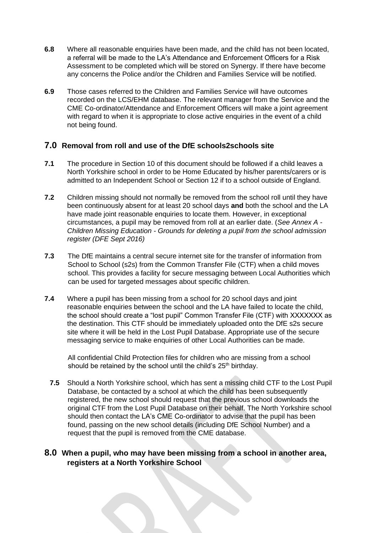- **6.8** Where all reasonable enquiries have been made, and the child has not been located, a referral will be made to the LA's Attendance and Enforcement Officers for a Risk Assessment to be completed which will be stored on Synergy. If there have become any concerns the Police and/or the Children and Families Service will be notified.
- **6.9** Those cases referred to the Children and Families Service will have outcomes recorded on the LCS/EHM database. The relevant manager from the Service and the CME Co-ordinator/Attendance and Enforcement Officers will make a joint agreement with regard to when it is appropriate to close active enquiries in the event of a child not being found.

#### **7.0 Removal from roll and use of the DfE schools2schools site**

- **7.1** The procedure in Section 10 of this document should be followed if a child leaves a North Yorkshire school in order to be Home Educated by his/her parents/carers or is admitted to an Independent School or Section 12 if to a school outside of England.
- **7.2** Children missing should not normally be removed from the school roll until they have been continuously absent for at least 20 school days **and** both the school and the LA have made joint reasonable enquiries to locate them. However, in exceptional circumstances, a pupil may be removed from roll at an earlier date. (*See Annex A - Children Missing Education - Grounds for deleting a pupil from the school admission register (DFE Sept 2016)*
- **7.3** The DfE maintains a central secure internet site for the transfer of information from School to School (s2s) from the Common Transfer File (CTF) when a child moves school. This provides a facility for secure messaging between Local Authorities which can be used for targeted messages about specific children.
- **7.4** Where a pupil has been missing from a school for 20 school days and joint reasonable enquiries between the school and the LA have failed to locate the child, the school should create a "lost pupil" Common Transfer File (CTF) with XXXXXXX as the destination. This CTF should be immediately uploaded onto the DfE s2s secure site where it will be held in the Lost Pupil Database. Appropriate use of the secure messaging service to make enquiries of other Local Authorities can be made.

All confidential Child Protection files for children who are missing from a school should be retained by the school until the child's  $25<sup>th</sup>$  birthday.

**7.5** Should a North Yorkshire school, which has sent a missing child CTF to the Lost Pupil Database, be contacted by a school at which the child has been subsequently registered, the new school should request that the previous school downloads the original CTF from the Lost Pupil Database on their behalf. The North Yorkshire school should then contact the LA's CME Co-ordinator to advise that the pupil has been found, passing on the new school details (including DfE School Number) and a request that the pupil is removed from the CME database.

#### **8.0 When a pupil, who may have been missing from a school in another area, registers at a North Yorkshire School**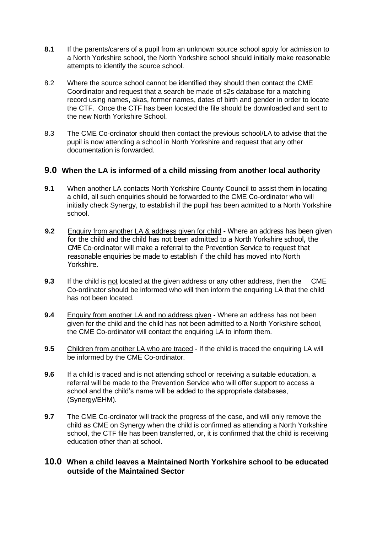- **8.1** If the parents/carers of a pupil from an unknown source school apply for admission to a North Yorkshire school, the North Yorkshire school should initially make reasonable attempts to identify the source school.
- 8.2 Where the source school cannot be identified they should then contact the CME Coordinator and request that a search be made of s2s database for a matching record using names, akas, former names, dates of birth and gender in order to locate the CTF. Once the CTF has been located the file should be downloaded and sent to the new North Yorkshire School.
- 8.3 The CME Co-ordinator should then contact the previous school/LA to advise that the pupil is now attending a school in North Yorkshire and request that any other documentation is forwarded.

#### **9.0 When the LA is informed of a child missing from another local authority**

- **9.1** When another LA contacts North Yorkshire County Council to assist them in locating a child, all such enquiries should be forwarded to the CME Co-ordinator who will initially check Synergy, to establish if the pupil has been admitted to a North Yorkshire school.
- **9.2** Enquiry from another LA & address given for child **-** Where an address has been given for the child and the child has not been admitted to a North Yorkshire school, the CME Co-ordinator will make a referral to the Prevention Service to request that reasonable enquiries be made to establish if the child has moved into North Yorkshire.
- **9.3** If the child is not located at the given address or any other address, then the CME Co-ordinator should be informed who will then inform the enquiring LA that the child has not been located.
- **9.4** Enquiry from another LA and no address given **-** Where an address has not been given for the child and the child has not been admitted to a North Yorkshire school, the CME Co-ordinator will contact the enquiring LA to inform them.
- **9.5** Children from another LA who are traced If the child is traced the enquiring LA will be informed by the CME Co-ordinator.
- **9.6** If a child is traced and is not attending school or receiving a suitable education, a referral will be made to the Prevention Service who will offer support to access a school and the child's name will be added to the appropriate databases, (Synergy/EHM).
- **9.7** The CME Co-ordinator will track the progress of the case, and will only remove the child as CME on Synergy when the child is confirmed as attending a North Yorkshire school, the CTF file has been transferred, or, it is confirmed that the child is receiving education other than at school.

#### **10.0 When a child leaves a Maintained North Yorkshire school to be educated outside of the Maintained Sector**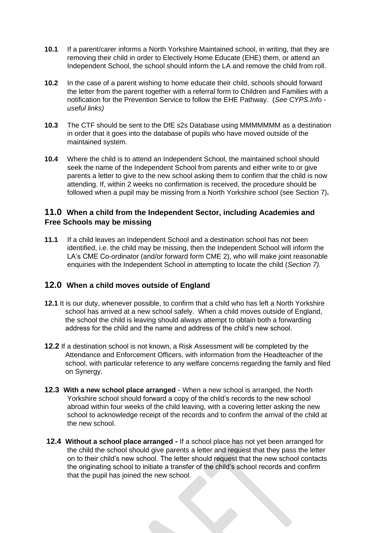- **10.1** If a parent/carer informs a North Yorkshire Maintained school, in writing, that they are removing their child in order to Electively Home Educate (EHE) them, or attend an Independent School, the school should inform the LA and remove the child from roll.
- **10.2** In the case of a parent wishing to home educate their child, schools should forward the letter from the parent together with a referral form to Children and Families with a notification for the Prevention Service to follow the EHE Pathway. (*See CYPS.Info useful links)*
- **10.3** The CTF should be sent to the DfE s2s Database using MMMMMMM as a destination in order that it goes into the database of pupils who have moved outside of the maintained system.
- **10.4** Where the child is to attend an Independent School, the maintained school should seek the name of the Independent School from parents and either write to or give parents a letter to give to the new school asking them to confirm that the child is now attending. If, within 2 weeks no confirmation is received, the procedure should be followed when a pupil may be missing from a North Yorkshire school (see Section 7)**.**

#### **11.0 When a child from the Independent Sector, including Academies and Free Schools may be missing**

**11.1** If a child leaves an Independent School and a destination school has not been identified, i.e. the child may be missing, then the Independent School will inform the LA's CME Co-ordinator (and/or forward form CME 2), who will make joint reasonable enquiries with the Independent School in attempting to locate the child (*Section 7).*

### **12.0 When a child moves outside of England**

- **12.1** It is our duty, whenever possible, to confirm that a child who has left a North Yorkshire school has arrived at a new school safely. When a child moves outside of England, the school the child is leaving should always attempt to obtain both a forwarding address for the child and the name and address of the child's new school.
- **12.2** If a destination school is not known, a Risk Assessment will be completed by the Attendance and Enforcement Officers, with information from the Headteacher of the school, with particular reference to any welfare concerns regarding the family and filed on Synergy.
- **12.3 With a new school place arranged** When a new school is arranged, the North Yorkshire school should forward a copy of the child's records to the new school abroad within four weeks of the child leaving, with a covering letter asking the new school to acknowledge receipt of the records and to confirm the arrival of the child at the new school.
- **12.4 Without a school place arranged -** If a school place has not yet been arranged for the child the school should give parents a letter and request that they pass the letter on to their child's new school. The letter should request that the new school contacts the originating school to initiate a transfer of the child's school records and confirm that the pupil has joined the new school.